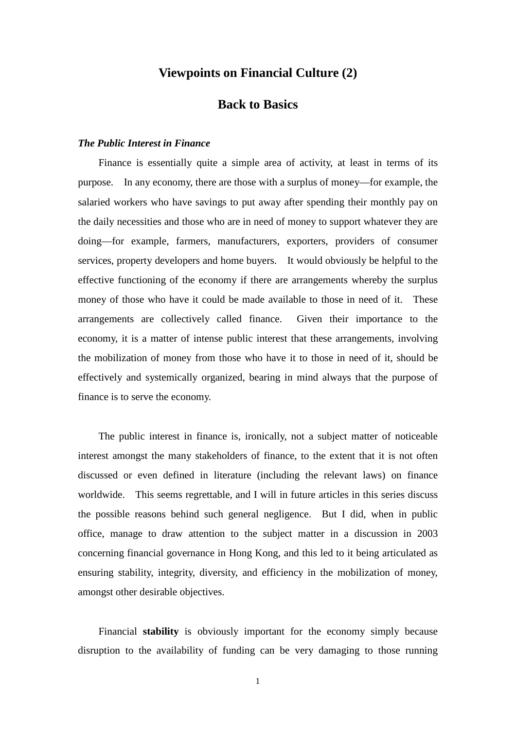# **Viewpoints on Financial Culture (2)**

## **Back to Basics**

#### *The Public Interest in Finance*

Finance is essentially quite a simple area of activity, at least in terms of its purpose. In any economy, there are those with a surplus of money—for example, the salaried workers who have savings to put away after spending their monthly pay on the daily necessities and those who are in need of money to support whatever they are doing—for example, farmers, manufacturers, exporters, providers of consumer services, property developers and home buyers. It would obviously be helpful to the effective functioning of the economy if there are arrangements whereby the surplus money of those who have it could be made available to those in need of it. These arrangements are collectively called finance. Given their importance to the economy, it is a matter of intense public interest that these arrangements, involving the mobilization of money from those who have it to those in need of it, should be effectively and systemically organized, bearing in mind always that the purpose of finance is to serve the economy.

The public interest in finance is, ironically, not a subject matter of noticeable interest amongst the many stakeholders of finance, to the extent that it is not often discussed or even defined in literature (including the relevant laws) on finance worldwide. This seems regrettable, and I will in future articles in this series discuss the possible reasons behind such general negligence. But I did, when in public office, manage to draw attention to the subject matter in a discussion in 2003 concerning financial governance in Hong Kong, and this led to it being articulated as ensuring stability, integrity, diversity, and efficiency in the mobilization of money, amongst other desirable objectives.

Financial **stability** is obviously important for the economy simply because disruption to the availability of funding can be very damaging to those running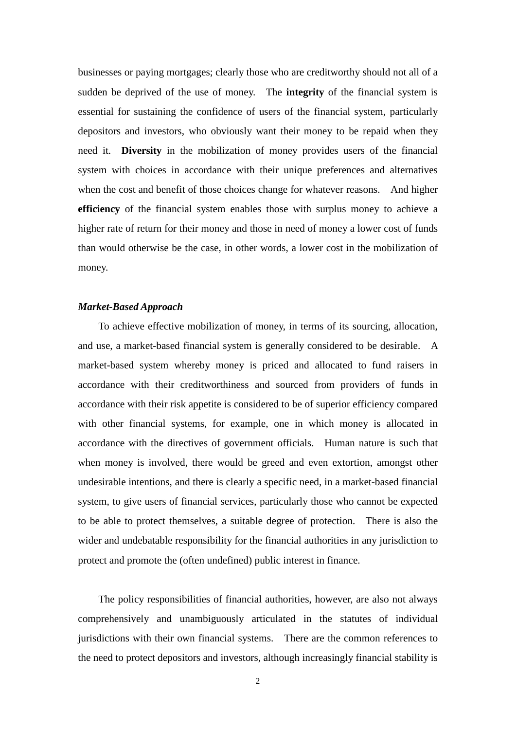businesses or paying mortgages; clearly those who are creditworthy should not all of a sudden be deprived of the use of money. The **integrity** of the financial system is essential for sustaining the confidence of users of the financial system, particularly depositors and investors, who obviously want their money to be repaid when they need it. **Diversity** in the mobilization of money provides users of the financial system with choices in accordance with their unique preferences and alternatives when the cost and benefit of those choices change for whatever reasons. And higher **efficiency** of the financial system enables those with surplus money to achieve a higher rate of return for their money and those in need of money a lower cost of funds than would otherwise be the case, in other words, a lower cost in the mobilization of money.

#### *Market-Based Approach*

To achieve effective mobilization of money, in terms of its sourcing, allocation, and use, a market-based financial system is generally considered to be desirable. A market-based system whereby money is priced and allocated to fund raisers in accordance with their creditworthiness and sourced from providers of funds in accordance with their risk appetite is considered to be of superior efficiency compared with other financial systems, for example, one in which money is allocated in accordance with the directives of government officials. Human nature is such that when money is involved, there would be greed and even extortion, amongst other undesirable intentions, and there is clearly a specific need, in a market-based financial system, to give users of financial services, particularly those who cannot be expected to be able to protect themselves, a suitable degree of protection. There is also the wider and undebatable responsibility for the financial authorities in any jurisdiction to protect and promote the (often undefined) public interest in finance.

The policy responsibilities of financial authorities, however, are also not always comprehensively and unambiguously articulated in the statutes of individual jurisdictions with their own financial systems. There are the common references to the need to protect depositors and investors, although increasingly financial stability is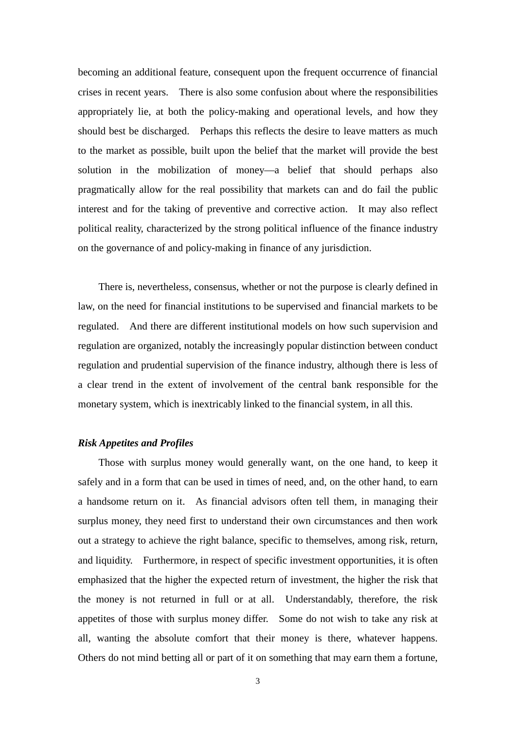becoming an additional feature, consequent upon the frequent occurrence of financial crises in recent years. There is also some confusion about where the responsibilities appropriately lie, at both the policy-making and operational levels, and how they should best be discharged. Perhaps this reflects the desire to leave matters as much to the market as possible, built upon the belief that the market will provide the best solution in the mobilization of money—a belief that should perhaps also pragmatically allow for the real possibility that markets can and do fail the public interest and for the taking of preventive and corrective action. It may also reflect political reality, characterized by the strong political influence of the finance industry on the governance of and policy-making in finance of any jurisdiction.

There is, nevertheless, consensus, whether or not the purpose is clearly defined in law, on the need for financial institutions to be supervised and financial markets to be regulated. And there are different institutional models on how such supervision and regulation are organized, notably the increasingly popular distinction between conduct regulation and prudential supervision of the finance industry, although there is less of a clear trend in the extent of involvement of the central bank responsible for the monetary system, which is inextricably linked to the financial system, in all this.

### *Risk Appetites and Profiles*

Those with surplus money would generally want, on the one hand, to keep it safely and in a form that can be used in times of need, and, on the other hand, to earn a handsome return on it. As financial advisors often tell them, in managing their surplus money, they need first to understand their own circumstances and then work out a strategy to achieve the right balance, specific to themselves, among risk, return, and liquidity. Furthermore, in respect of specific investment opportunities, it is often emphasized that the higher the expected return of investment, the higher the risk that the money is not returned in full or at all. Understandably, therefore, the risk appetites of those with surplus money differ. Some do not wish to take any risk at all, wanting the absolute comfort that their money is there, whatever happens. Others do not mind betting all or part of it on something that may earn them a fortune,